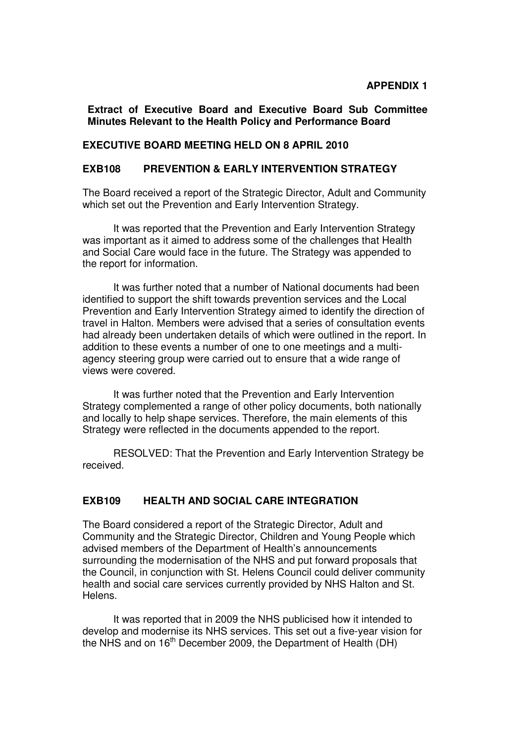**Extract of Executive Board and Executive Board Sub Committee Minutes Relevant to the Health Policy and Performance Board**

### **EXECUTIVE BOARD MEETING HELD ON 8 APRIL 2010**

# **EXB108 PREVENTION & EARLY INTERVENTION STRATEGY**

The Board received a report of the Strategic Director, Adult and Community which set out the Prevention and Early Intervention Strategy.

 It was reported that the Prevention and Early Intervention Strategy was important as it aimed to address some of the challenges that Health and Social Care would face in the future. The Strategy was appended to the report for information.

 It was further noted that a number of National documents had been identified to support the shift towards prevention services and the Local Prevention and Early Intervention Strategy aimed to identify the direction of travel in Halton. Members were advised that a series of consultation events had already been undertaken details of which were outlined in the report. In addition to these events a number of one to one meetings and a multiagency steering group were carried out to ensure that a wide range of views were covered.

 It was further noted that the Prevention and Early Intervention Strategy complemented a range of other policy documents, both nationally and locally to help shape services. Therefore, the main elements of this Strategy were reflected in the documents appended to the report.

 RESOLVED: That the Prevention and Early Intervention Strategy be received.

### **EXB109 HEALTH AND SOCIAL CARE INTEGRATION**

The Board considered a report of the Strategic Director, Adult and Community and the Strategic Director, Children and Young People which advised members of the Department of Health's announcements surrounding the modernisation of the NHS and put forward proposals that the Council, in conjunction with St. Helens Council could deliver community health and social care services currently provided by NHS Halton and St. Helens.

 It was reported that in 2009 the NHS publicised how it intended to develop and modernise its NHS services. This set out a five-year vision for the NHS and on  $16<sup>th</sup>$  December 2009, the Department of Health (DH)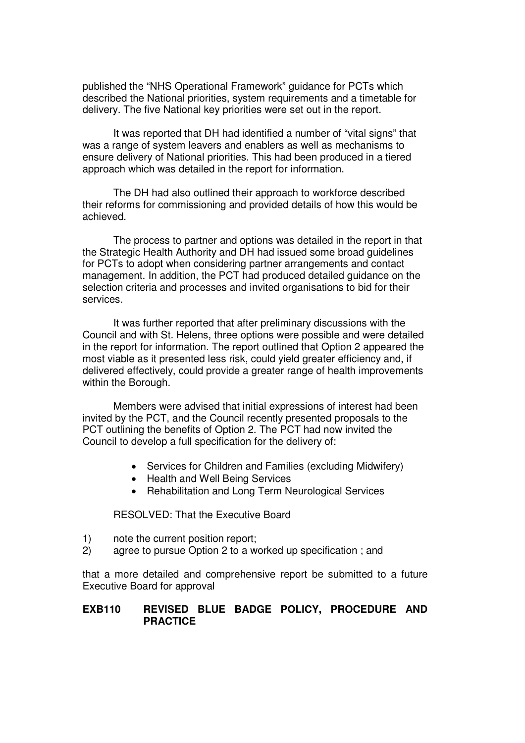published the "NHS Operational Framework" guidance for PCTs which described the National priorities, system requirements and a timetable for delivery. The five National key priorities were set out in the report.

 It was reported that DH had identified a number of "vital signs" that was a range of system leavers and enablers as well as mechanisms to ensure delivery of National priorities. This had been produced in a tiered approach which was detailed in the report for information.

 The DH had also outlined their approach to workforce described their reforms for commissioning and provided details of how this would be achieved.

 The process to partner and options was detailed in the report in that the Strategic Health Authority and DH had issued some broad guidelines for PCTs to adopt when considering partner arrangements and contact management. In addition, the PCT had produced detailed guidance on the selection criteria and processes and invited organisations to bid for their services.

 It was further reported that after preliminary discussions with the Council and with St. Helens, three options were possible and were detailed in the report for information. The report outlined that Option 2 appeared the most viable as it presented less risk, could yield greater efficiency and, if delivered effectively, could provide a greater range of health improvements within the Borough.

 Members were advised that initial expressions of interest had been invited by the PCT, and the Council recently presented proposals to the PCT outlining the benefits of Option 2. The PCT had now invited the Council to develop a full specification for the delivery of:

- Services for Children and Families (excluding Midwifery)
- Health and Well Being Services
- Rehabilitation and Long Term Neurological Services

RESOLVED: That the Executive Board

- 1) note the current position report;
- 2) agree to pursue Option 2 to a worked up specification ; and

that a more detailed and comprehensive report be submitted to a future Executive Board for approval

## **EXB110 REVISED BLUE BADGE POLICY, PROCEDURE AND PRACTICE**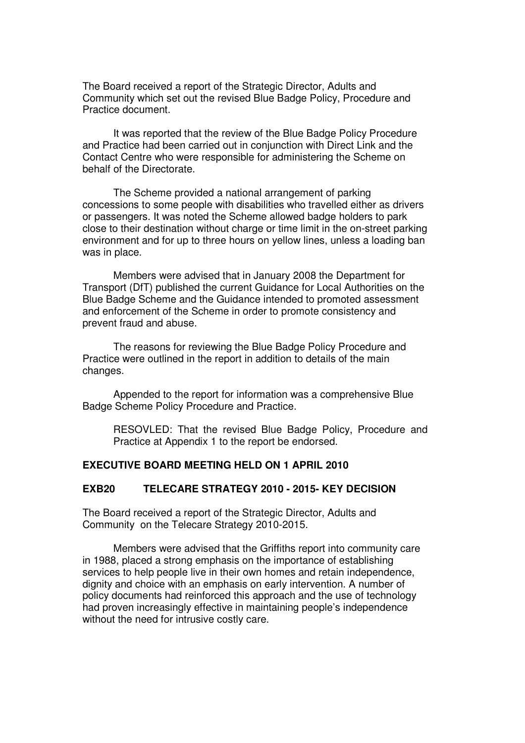The Board received a report of the Strategic Director, Adults and Community which set out the revised Blue Badge Policy, Procedure and Practice document.

 It was reported that the review of the Blue Badge Policy Procedure and Practice had been carried out in conjunction with Direct Link and the Contact Centre who were responsible for administering the Scheme on behalf of the Directorate.

 The Scheme provided a national arrangement of parking concessions to some people with disabilities who travelled either as drivers or passengers. It was noted the Scheme allowed badge holders to park close to their destination without charge or time limit in the on-street parking environment and for up to three hours on yellow lines, unless a loading ban was in place.

 Members were advised that in January 2008 the Department for Transport (DfT) published the current Guidance for Local Authorities on the Blue Badge Scheme and the Guidance intended to promoted assessment and enforcement of the Scheme in order to promote consistency and prevent fraud and abuse.

 The reasons for reviewing the Blue Badge Policy Procedure and Practice were outlined in the report in addition to details of the main changes.

 Appended to the report for information was a comprehensive Blue Badge Scheme Policy Procedure and Practice.

 RESOVLED: That the revised Blue Badge Policy, Procedure and Practice at Appendix 1 to the report be endorsed.

#### **EXECUTIVE BOARD MEETING HELD ON 1 APRIL 2010**

#### **EXB20 TELECARE STRATEGY 2010 - 2015- KEY DECISION**

The Board received a report of the Strategic Director, Adults and Community on the Telecare Strategy 2010-2015.

 Members were advised that the Griffiths report into community care in 1988, placed a strong emphasis on the importance of establishing services to help people live in their own homes and retain independence, dignity and choice with an emphasis on early intervention. A number of policy documents had reinforced this approach and the use of technology had proven increasingly effective in maintaining people's independence without the need for intrusive costly care.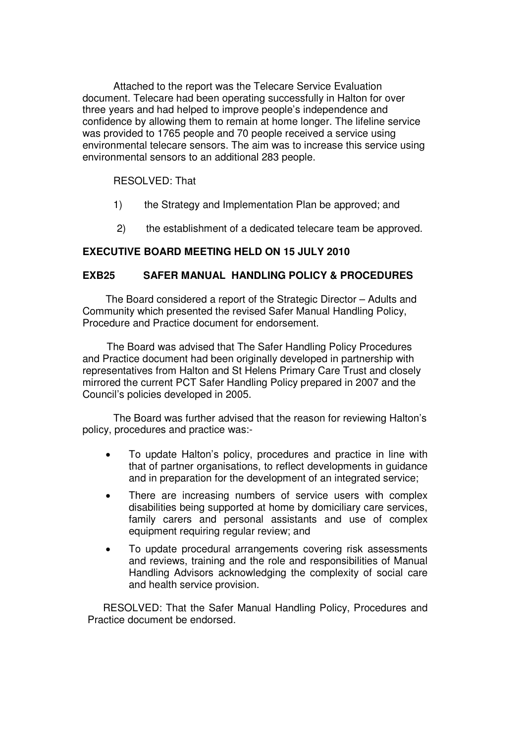Attached to the report was the Telecare Service Evaluation document. Telecare had been operating successfully in Halton for over three years and had helped to improve people's independence and confidence by allowing them to remain at home longer. The lifeline service was provided to 1765 people and 70 people received a service using environmental telecare sensors. The aim was to increase this service using environmental sensors to an additional 283 people.

# RESOLVED: That

- 1) the Strategy and Implementation Plan be approved; and
- 2) the establishment of a dedicated telecare team be approved.

## **EXECUTIVE BOARD MEETING HELD ON 15 JULY 2010**

### **EXB25 SAFER MANUAL HANDLING POLICY & PROCEDURES**

The Board considered a report of the Strategic Director – Adults and Community which presented the revised Safer Manual Handling Policy, Procedure and Practice document for endorsement.

 The Board was advised that The Safer Handling Policy Procedures and Practice document had been originally developed in partnership with representatives from Halton and St Helens Primary Care Trust and closely mirrored the current PCT Safer Handling Policy prepared in 2007 and the Council's policies developed in 2005.

 The Board was further advised that the reason for reviewing Halton's policy, procedures and practice was:-

- To update Halton's policy, procedures and practice in line with that of partner organisations, to reflect developments in guidance and in preparation for the development of an integrated service;
- There are increasing numbers of service users with complex disabilities being supported at home by domiciliary care services, family carers and personal assistants and use of complex equipment requiring regular review; and
- To update procedural arrangements covering risk assessments and reviews, training and the role and responsibilities of Manual Handling Advisors acknowledging the complexity of social care and health service provision.

 RESOLVED: That the Safer Manual Handling Policy, Procedures and Practice document be endorsed.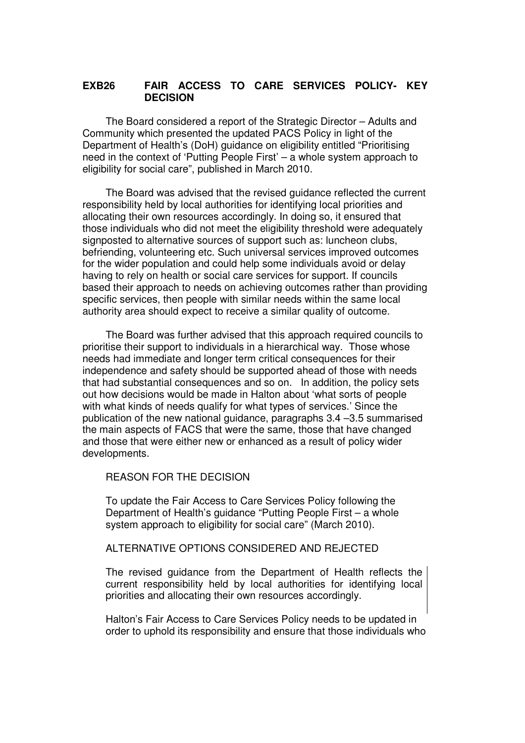# **EXB26 FAIR ACCESS TO CARE SERVICES POLICY- KEY DECISION**

The Board considered a report of the Strategic Director – Adults and Community which presented the updated PACS Policy in light of the Department of Health's (DoH) guidance on eligibility entitled "Prioritising need in the context of 'Putting People First' – a whole system approach to eligibility for social care", published in March 2010.

The Board was advised that the revised guidance reflected the current responsibility held by local authorities for identifying local priorities and allocating their own resources accordingly. In doing so, it ensured that those individuals who did not meet the eligibility threshold were adequately signposted to alternative sources of support such as: luncheon clubs, befriending, volunteering etc. Such universal services improved outcomes for the wider population and could help some individuals avoid or delay having to rely on health or social care services for support. If councils based their approach to needs on achieving outcomes rather than providing specific services, then people with similar needs within the same local authority area should expect to receive a similar quality of outcome.

The Board was further advised that this approach required councils to prioritise their support to individuals in a hierarchical way. Those whose needs had immediate and longer term critical consequences for their independence and safety should be supported ahead of those with needs that had substantial consequences and so on. In addition, the policy sets out how decisions would be made in Halton about 'what sorts of people with what kinds of needs qualify for what types of services.' Since the publication of the new national guidance, paragraphs 3.4 –3.5 summarised the main aspects of FACS that were the same, those that have changed and those that were either new or enhanced as a result of policy wider developments.

REASON FOR THE DECISION

To update the Fair Access to Care Services Policy following the Department of Health's guidance "Putting People First – a whole system approach to eligibility for social care" (March 2010).

#### ALTERNATIVE OPTIONS CONSIDERED AND REJECTED

The revised guidance from the Department of Health reflects the current responsibility held by local authorities for identifying local priorities and allocating their own resources accordingly.

Halton's Fair Access to Care Services Policy needs to be updated in order to uphold its responsibility and ensure that those individuals who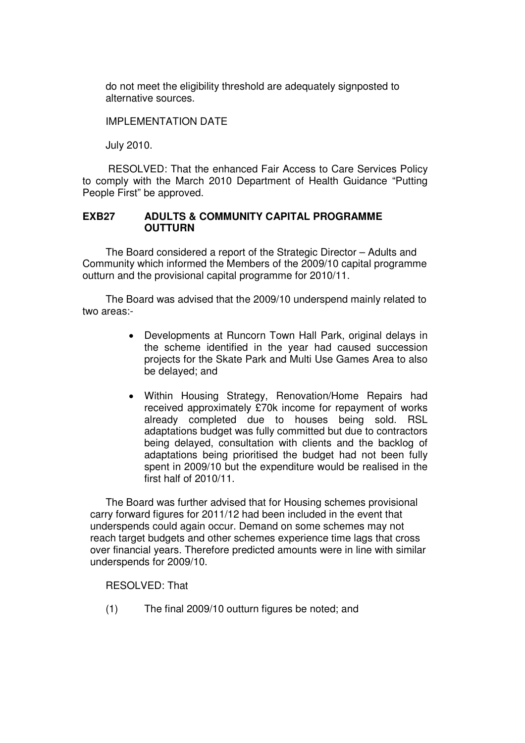do not meet the eligibility threshold are adequately signposted to alternative sources.

IMPLEMENTATION DATE

July 2010.

RESOLVED: That the enhanced Fair Access to Care Services Policy to comply with the March 2010 Department of Health Guidance "Putting People First" be approved.

### **EXB27 ADULTS & COMMUNITY CAPITAL PROGRAMME OUTTURN**

The Board considered a report of the Strategic Director – Adults and Community which informed the Members of the 2009/10 capital programme outturn and the provisional capital programme for 2010/11.

The Board was advised that the 2009/10 underspend mainly related to two areas:-

- Developments at Runcorn Town Hall Park, original delays in the scheme identified in the year had caused succession projects for the Skate Park and Multi Use Games Area to also be delayed; and
- Within Housing Strategy, Renovation/Home Repairs had received approximately £70k income for repayment of works already completed due to houses being sold. RSL adaptations budget was fully committed but due to contractors being delayed, consultation with clients and the backlog of adaptations being prioritised the budget had not been fully spent in 2009/10 but the expenditure would be realised in the first half of 2010/11.

The Board was further advised that for Housing schemes provisional carry forward figures for 2011/12 had been included in the event that underspends could again occur. Demand on some schemes may not reach target budgets and other schemes experience time lags that cross over financial years. Therefore predicted amounts were in line with similar underspends for 2009/10.

RESOLVED: That

(1) The final 2009/10 outturn figures be noted; and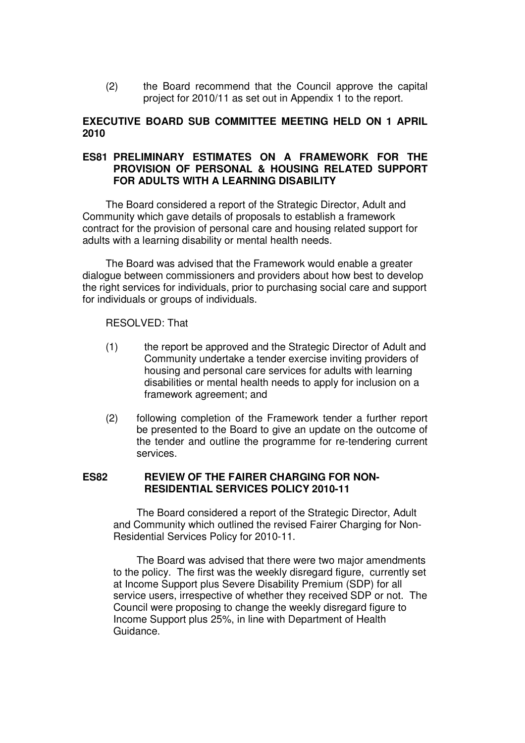(2) the Board recommend that the Council approve the capital project for 2010/11 as set out in Appendix 1 to the report.

## **EXECUTIVE BOARD SUB COMMITTEE MEETING HELD ON 1 APRIL 2010**

## **ES81 PRELIMINARY ESTIMATES ON A FRAMEWORK FOR THE PROVISION OF PERSONAL & HOUSING RELATED SUPPORT FOR ADULTS WITH A LEARNING DISABILITY**

The Board considered a report of the Strategic Director, Adult and Community which gave details of proposals to establish a framework contract for the provision of personal care and housing related support for adults with a learning disability or mental health needs.

The Board was advised that the Framework would enable a greater dialogue between commissioners and providers about how best to develop the right services for individuals, prior to purchasing social care and support for individuals or groups of individuals.

#### RESOLVED: That

- (1) the report be approved and the Strategic Director of Adult and Community undertake a tender exercise inviting providers of housing and personal care services for adults with learning disabilities or mental health needs to apply for inclusion on a framework agreement; and
- (2) following completion of the Framework tender a further report be presented to the Board to give an update on the outcome of the tender and outline the programme for re-tendering current services.

#### **ES82 REVIEW OF THE FAIRER CHARGING FOR NON-RESIDENTIAL SERVICES POLICY 2010-11**

The Board considered a report of the Strategic Director, Adult and Community which outlined the revised Fairer Charging for Non-Residential Services Policy for 2010-11.

The Board was advised that there were two major amendments to the policy. The first was the weekly disregard figure, currently set at Income Support plus Severe Disability Premium (SDP) for all service users, irrespective of whether they received SDP or not. The Council were proposing to change the weekly disregard figure to Income Support plus 25%, in line with Department of Health Guidance.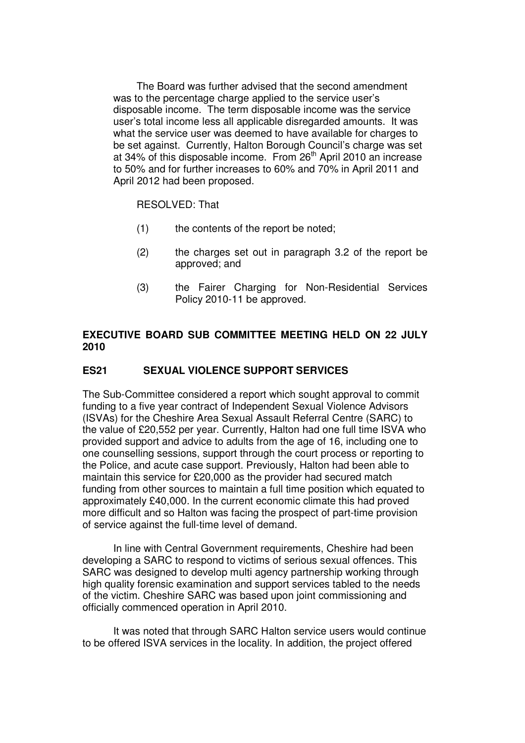The Board was further advised that the second amendment was to the percentage charge applied to the service user's disposable income. The term disposable income was the service user's total income less all applicable disregarded amounts. It was what the service user was deemed to have available for charges to be set against. Currently, Halton Borough Council's charge was set at 34% of this disposable income. From 26<sup>th</sup> April 2010 an increase to 50% and for further increases to 60% and 70% in April 2011 and April 2012 had been proposed.

#### RESOLVED: That

- (1) the contents of the report be noted;
- (2) the charges set out in paragraph 3.2 of the report be approved; and
- (3) the Fairer Charging for Non-Residential Services Policy 2010-11 be approved.

# **EXECUTIVE BOARD SUB COMMITTEE MEETING HELD ON 22 JULY 2010**

## **ES21 SEXUAL VIOLENCE SUPPORT SERVICES**

The Sub-Committee considered a report which sought approval to commit funding to a five year contract of Independent Sexual Violence Advisors (ISVAs) for the Cheshire Area Sexual Assault Referral Centre (SARC) to the value of £20,552 per year. Currently, Halton had one full time ISVA who provided support and advice to adults from the age of 16, including one to one counselling sessions, support through the court process or reporting to the Police, and acute case support. Previously, Halton had been able to maintain this service for £20,000 as the provider had secured match funding from other sources to maintain a full time position which equated to approximately £40,000. In the current economic climate this had proved more difficult and so Halton was facing the prospect of part-time provision of service against the full-time level of demand.

 In line with Central Government requirements, Cheshire had been developing a SARC to respond to victims of serious sexual offences. This SARC was designed to develop multi agency partnership working through high quality forensic examination and support services tabled to the needs of the victim. Cheshire SARC was based upon joint commissioning and officially commenced operation in April 2010.

 It was noted that through SARC Halton service users would continue to be offered ISVA services in the locality. In addition, the project offered